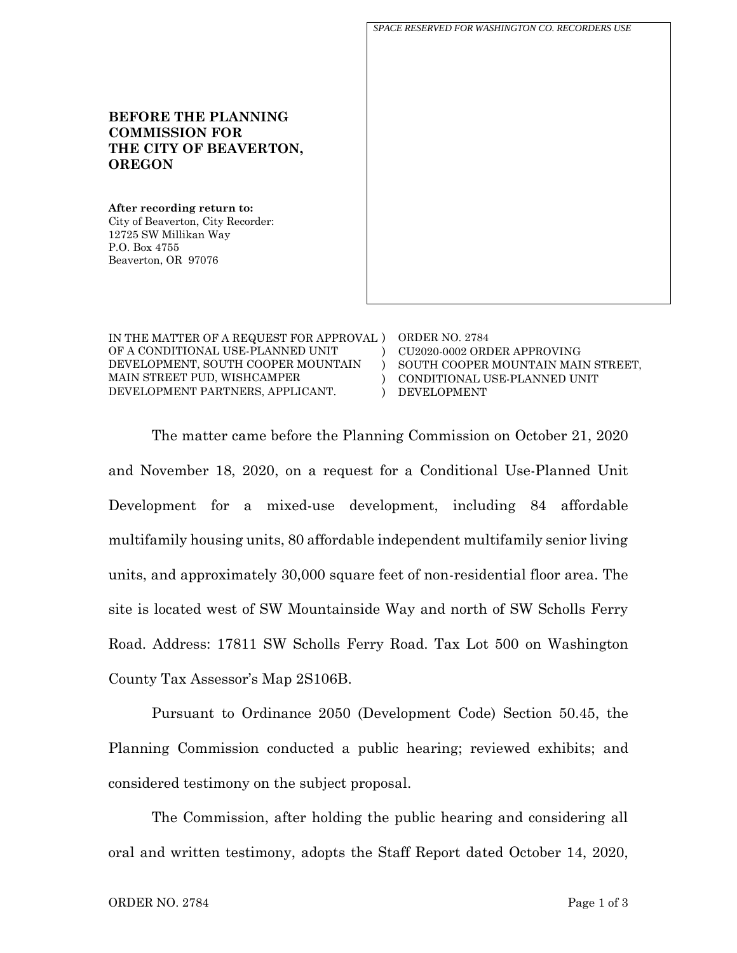**BEFORE THE PLANNING COMMISSION FOR THE CITY OF BEAVERTON, OREGON After recording return to:** City of Beaverton, City Recorder: 12725 SW Millikan Way P.O. Box 4755 Beaverton, OR 97076 *SPACE RESERVED FOR WASHINGTON CO. RECORDERS USE*

| IN THE MATTER OF A REQUEST FOR APPROVAL ) | ORDER NO. 2784                     |
|-------------------------------------------|------------------------------------|
| OF A CONDITIONAL USE-PLANNED UNIT         | CU2020-0002 ORDER APPROVING        |
| DEVELOPMENT, SOUTH COOPER MOUNTAIN        | SOUTH COOPER MOUNTAIN MAIN STREET, |
| MAIN STREET PUD, WISHCAMPER               | CONDITIONAL USE-PLANNED UNIT       |
| DEVELOPMENT PARTNERS, APPLICANT.          | DEVELOPMENT                        |

The matter came before the Planning Commission on October 21, 2020 and November 18, 2020, on a request for a Conditional Use-Planned Unit Development for a mixed-use development, including 84 affordable multifamily housing units, 80 affordable independent multifamily senior living units, and approximately 30,000 square feet of non-residential floor area. The site is located west of SW Mountainside Way and north of SW Scholls Ferry Road. Address: 17811 SW Scholls Ferry Road. Tax Lot 500 on Washington County Tax Assessor's Map 2S106B.

Pursuant to Ordinance 2050 (Development Code) Section 50.45, the Planning Commission conducted a public hearing; reviewed exhibits; and considered testimony on the subject proposal.

The Commission, after holding the public hearing and considering all oral and written testimony, adopts the Staff Report dated October 14, 2020,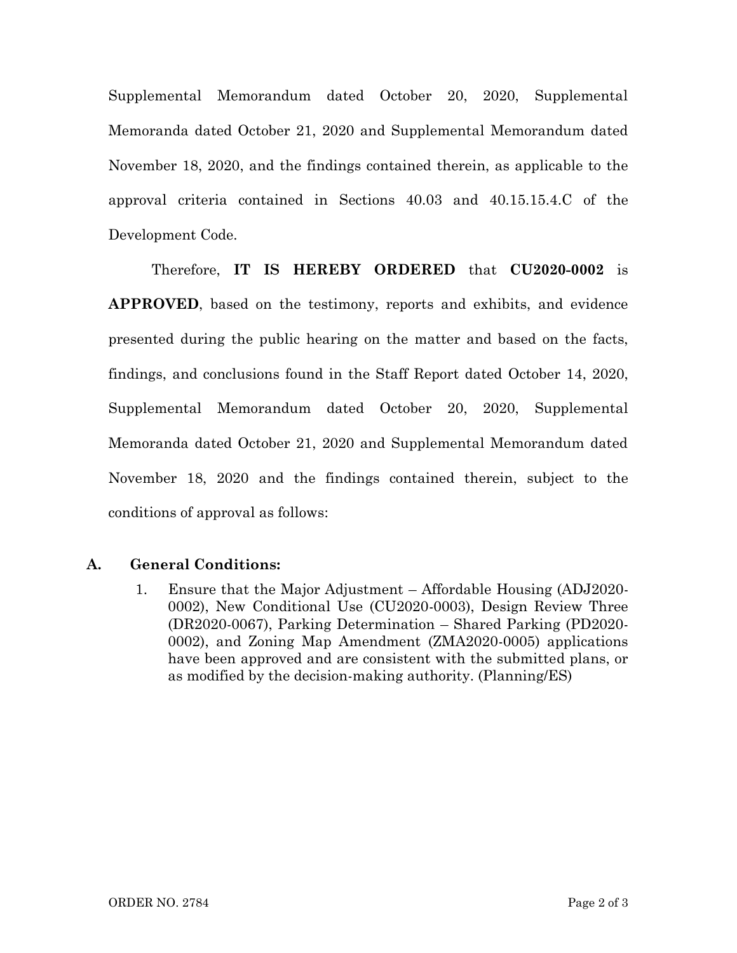Supplemental Memorandum dated October 20, 2020, Supplemental Memoranda dated October 21, 2020 and Supplemental Memorandum dated November 18, 2020, and the findings contained therein, as applicable to the approval criteria contained in Sections 40.03 and 40.15.15.4.C of the Development Code.

Therefore, **IT IS HEREBY ORDERED** that **CU2020-0002** is **APPROVED**, based on the testimony, reports and exhibits, and evidence presented during the public hearing on the matter and based on the facts, findings, and conclusions found in the Staff Report dated October 14, 2020, Supplemental Memorandum dated October 20, 2020, Supplemental Memoranda dated October 21, 2020 and Supplemental Memorandum dated November 18, 2020 and the findings contained therein, subject to the conditions of approval as follows:

## **A. General Conditions:**

1. Ensure that the Major Adjustment – Affordable Housing (ADJ2020- 0002), New Conditional Use (CU2020-0003), Design Review Three (DR2020-0067), Parking Determination – Shared Parking (PD2020- 0002), and Zoning Map Amendment (ZMA2020-0005) applications have been approved and are consistent with the submitted plans, or as modified by the decision-making authority. (Planning/ES)